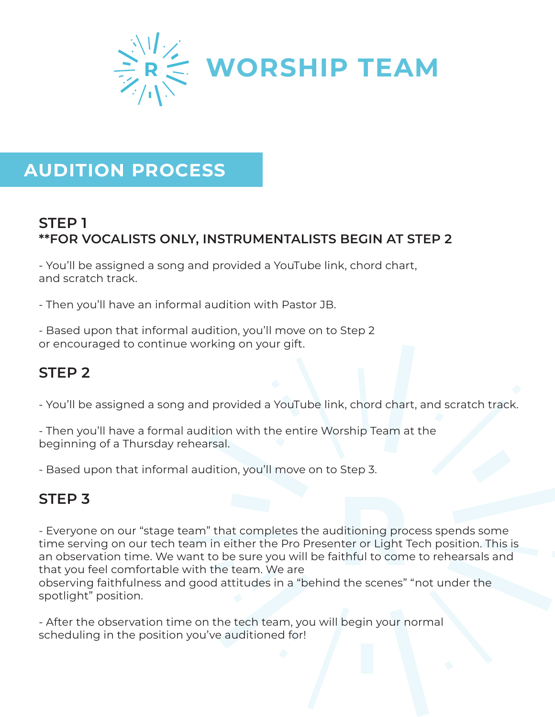

# **AUDITION PROCESS**

#### **STEP 1 \*\*FOR VOCALISTS ONLY, INSTRUMENTALISTS BEGIN AT STEP 2**

- You'll be assigned a song and provided a YouTube link, chord chart, and scratch track.

- Then you'll have an informal audition with Pastor JB.

- Based upon that informal audition, you'll move on to Step 2 or encouraged to continue working on your gift.

## **STEP 2**

- You'll be assigned a song and provided a YouTube link, chord chart, and scratch track.

- Then you'll have a formal audition with the entire Worship Team at the beginning of a Thursday rehearsal.

- Based upon that informal audition, you'll move on to Step 3.

#### **STEP 3**

- Everyone on our "stage team" that completes the auditioning process spends some time serving on our tech team in either the Pro Presenter or Light Tech position. This is an observation time. We want to be sure you will be faithful to come to rehearsals and that you feel comfortable with the team. We are

observing faithfulness and good attitudes in a "behind the scenes" "not under the spotlight" position.

- After the observation time on the tech team, you will begin your normal scheduling in the position you've auditioned for!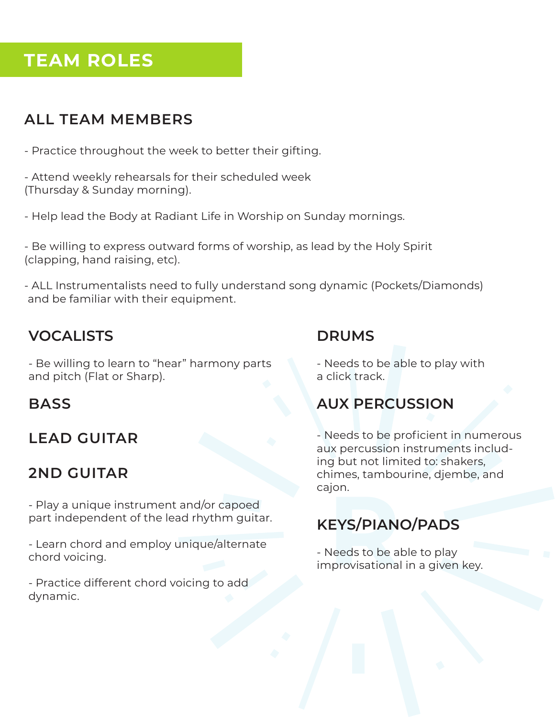# **TEAM ROLES**

# **ALL TEAM MEMBERS**

- Practice throughout the week to better their gifting.

- Attend weekly rehearsals for their scheduled week (Thursday & Sunday morning).

- Help lead the Body at Radiant Life in Worship on Sunday mornings.

- Be willing to express outward forms of worship, as lead by the Holy Spirit (clapping, hand raising, etc).

- ALL Instrumentalists need to fully understand song dynamic (Pockets/Diamonds) and be familiar with their equipment.

#### **VOCALISTS**

- Be willing to learn to "hear" harmony parts and pitch (Flat or Sharp).

#### **BASS**

# **LEAD GUITAR**

# **2ND GUITAR**

- Play a unique instrument and/or capoed part independent of the lead rhythm guitar.

- Learn chord and employ unique/alternate chord voicing.

- Practice different chord voicing to add dynamic.

#### **DRUMS**

- Needs to be able to play with a click track.

## **AUX PERCUSSION**

- Needs to be proficient in numerous aux percussion instruments including but not limited to: shakers, chimes, tambourine, djembe, and cajon.

## **KEYS/PIANO/PADS**

- Needs to be able to play improvisational in a given key.